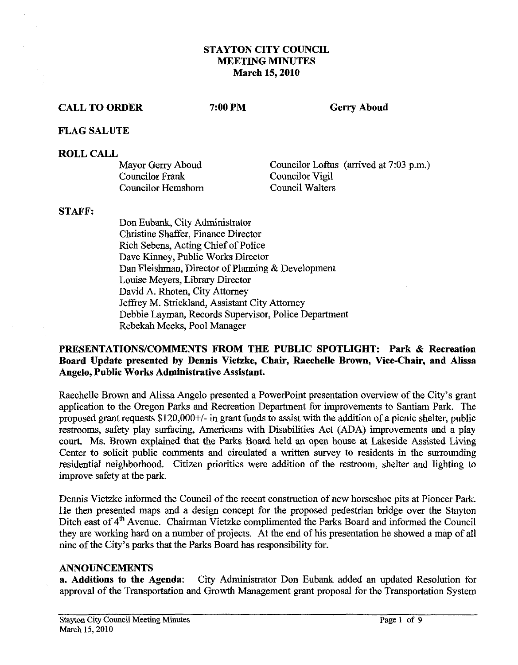## **STAYTON CITY COUNCIL MEETING MINUTES March 15,2010**

### **CALL TO ORDER**

7:00 PM

**Gerry Aboud** 

### **FLAG SALUTE**

#### **ROLL CALL**

Mayor Gerry Aboud Councilor Frank Councilor Hemshom Councilor Loftus (arrived at 7:03 p.m.) Councilor Vigil Council Walters

## **STAFF:**

Don Eubank, City Administrator Christine Shaffer, Finance Director Rich Sebens, Acting Chief of Police Dave Kinney, Public Works Director Dan Fleishman, Director of Planning & Development Louise Meyers, Library Director David A. Rhoten, City Attorney Jeffrey M. Strickland, Assistant City Attomey Debbie Layman, Records Supervisor, Police Department Rebekah Meeks, Pool Manager

## **PRESENTATIONSICOMMENTS FROM THE PUBLIC SPOTLIGHT: Park** & **Recreation Board Update presented by Dennis Vietzke, Chair, Raechelle Brown, Vice-Chair, and Alissa Angelo, Public Works Administrative Assistant.**

Raechelle Brown and Alissa Angelo presented a Powerpoint presentation overview of the City's grant application to the Oregon Parks and Recreation Department for improvements to Santiam Park. The proposed grant requests \$120,000+/- in grant funds to assist with the addition of a picnic shelter, public restrooms, safety play surfacing, Americans with Disabilities Act (ADA) improvements and a play court. Ms. Brown explained that the Parks Board held an open house at Lakeside Assisted Living Center to solicit public comments and circulated a written survey to residents in the surrounding residential neighborhood. Citizen priorities were addition of the restroom, shelter and lighting to improve safety at the park.

Dennis Vietzke informed the Council of the recent construction of new horseshoe pits at Pioneer Park. He then presented maps and a design concept for the proposed pedestrian bridge over the Stayton Ditch east of 4<sup>th</sup> Avenue. Chairman Vietzke complimented the Parks Board and informed the Council they are working hard on a number of projects. At the end of his presentation he showed a map of all nine of the City's parks that the Parks Board has responsibility for.

#### **ANNOUNCEMENTS**

**a. Additions to the Agenda:** City Administrator Don Eubank added an updated Resolution for approval of the Transportation and Growth Management grant proposal for the Transportation System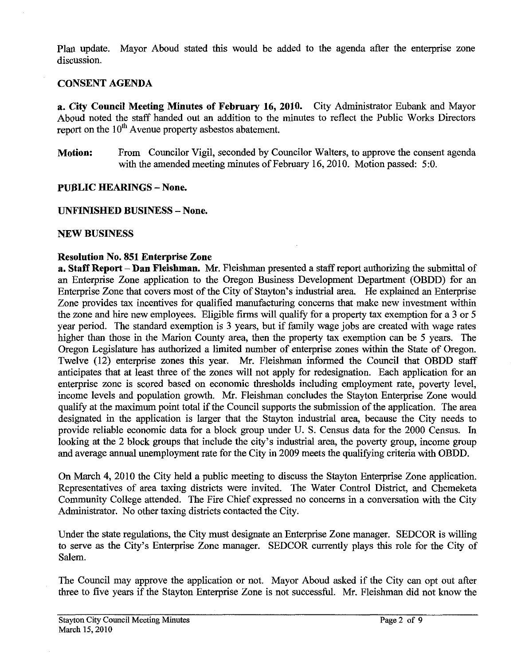Plan update. Mayor Aboud stated this would be added to the agenda after the enterprise zone discussion.

## **CONSENT AGENDA**

**a. City Council Meeting Minutes of February 16, 2010.** City Administrator Eubank and Mayor Aboud noted the staff handed out an addition to the minutes to reflect the Public Works Directors report on the  $10<sup>th</sup>$  Avenue property asbestos abatement.

**Motion:** From Councilor Vigil, seconded by Councilor Walters, to approve the consent agenda with the amended meeting minutes of February 16,2010. Motion passed: 5:O.

## **PUBLIC HEARINGS - None.**

**UNFINISHED BUSINESS** - **None.** 

## **NEW BUSINESS**

## **Resolution No. 851 Enterprise Zone**

**a. Staff Report -Dan Fleishman. Mr.** Fleishman presented a staff report authorizing the submittal of an Enterprise Zone application to the Oregon Business Development Department (OBDD) for an Enterprise Zone that covers most of the City of Stayton's industrial area. He explained an Enterprise Zone provides tax incentives for qualified manufacturing concerns that make new investment within the zone and hire new employees. Eligible firms will qualify for a property tax exemption for a **3** or 5 year period. The standard exemption is **3** years, but if family wage jobs are created with wage rates higher than those in the Marion County area, then the property tax exemption can be 5 years. The Oregon Legislature has authorized a limited number of enterprise zones within the State of Oregon. Twelve (12) enterprise zones this year. Mr. Fleishman informed the Council that OBDD staff anticipates that at least three of the zones will not apply for redesignation. Each application for **an**  enterprise zone is scored based on economic thresholds including employment rate, poverty level, income levels and population growth. Mr. Fleishman concludes the Stayton Enterprise Zone would qualify at the maximum point total if the Council supports the submission of the application. The area designated in the application is larger that the Stayton industrial area, because the City needs to provide reliable economic data for a block group under U. S. Census data for the 2000 Census. In looking at the 2 block groups that include the city's industrial area, the poverty group, income group and average **annual** unemployment rate for the City in 2009 meets the qualifying criteria with OBDD.

On March 4, 2010 the City held a public meeting to discuss the Stayton Enterprise Zone application. Representatives of area taxing districts were invited. The Water Control District, and Chemeketa Community College attended. The Fire Chief expressed no concerns in a conversation with the City Administrator. No other taxing districts contacted the City.

Under the state regulations, the City must designate an Enterprise Zone manager. SEDCOR is willing to serve as the City's Enterprise Zone manager. SEDCOR currently plays this role for the City of Salem.

The Council may approve the application or not. Mayor Aboud asked if the City can opt out after three to five years if the Stayton Enterprise Zone is not successful. Mr. Fleishman did not know the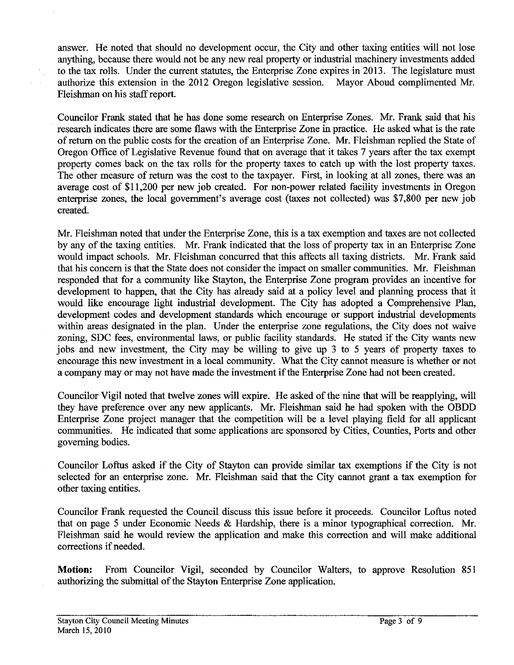answer. He noted that should no development occur, the City and other taxing entities will not lose anything, because there would not be any new real property or industrial machinery investments added to the tax rolls. Under the current statutes, the Enterprise Zone expires in **2013.** The legislature must authorize this extension in the **2012** Oregon legislative session. Mayor Aboud complimented Mr. Fleishman on his staff report.

Councilor Frank stated that he has done some research on Enterprise Zones. Mr. Frank said that his research indicates there are some flaws with the Enterprise Zone in practice. He asked what is the rate of return on the public costs for the creation of an Enterprise Zone. Mr. Fleishman replied the State of Oregon Office of Legislative Revenue found that on average that it takes 7 years after the tax exempt property comes back on the tax rolls for the property taxes to catch up with the lost property taxes. The other measure of return was the cost to the taxpayer. First, in looking at all zones, there was an average cost of **\$1 1,200** per new job created. For non-power related facility investments in Oregon enterprise zones, the local government's average cost (taxes not collected) was **\$7,800** per new job created.

Mr. Fleishman noted that under the Enterprise Zone, this is a tax exemption and taxes are not collected by any of the taxing entities. Mr. Frank indicated that the loss of property tax in an Enterprise Zone would impact schools. Mr. Fleishman concurred that this affects all taxing districts. Mr. Frank said that his concern is that the State does not consider the impact on smaller communities. Mr. Fleishman responded that for a community like Stayton, the Enterprise Zone program provides an incentive for development to happen, that the City has already said at a policy level and planning process that it would like encourage light industrial development. The City has adopted a Comprehensive Plan, development codes and development standards which encourage or support industrial developments within areas designated in the plan. Under the enterprise zone regulations, the City does not waive zoning, SDC fees, environmental laws, or public facility standards. He stated if the City wants new jobs and new investment, the City may be willing to give up **3** to 5 years of property taxes to encourage this new investment in a local community. What the City cannot measure is whether or not a company may or may not have made the investment if the Enterprise Zone had not been created.

Councilor Vigil noted that twelve zones will expire. He asked of the nine that will be reapplying, will they have preference over any new applicants. Mr. Fleishman said he had spoken with the OBDD Enterprise Zone project manager that the competition will be a level playing field for all applicant communities. He indicated that some applications are sponsored by Cities, Counties, Ports and other governing bodies.

Councilor Lofrus asked if the City of Stayton can provide similar tax exemptions if the City is not selected for an enterprise zone. Mr. Fleishman said that the City cannot grant a tax exemption for other taxing entities.

Councilor Frank requested the Council discuss this issue before it proceeds. Councilor Loftus noted that on page 5 under Economic Needs & Hardship, there is a minor typographical correction. Mr. Fleishman said he would review the application and make this correction and will make additional corrections if needed.

**Motion:** From Councilor Vigil, seconded by Councilor Walters, to approve Resolution **851**  authorizing the submittal of the Stayton Enterprise Zone application.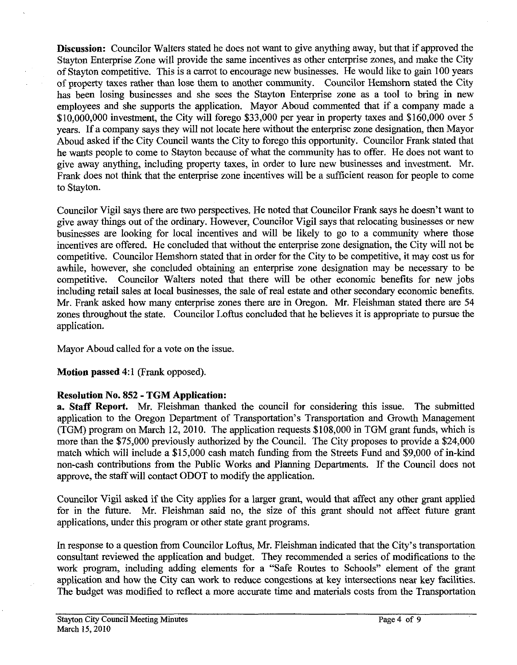**Discussion:** Councilor Walters stated he does not want to give anything away, but that if approved the Stayton Enterprise Zone will provide the same incentives as other enterprise zones, and make the City of Stayton competitive. This is a carrot to encourage new businesses. He would like to gain 100 years of property taxes rather than lose them to another community. Councilor Hemshorn stated the City has been losing businesses and she sees the Stayton Enterprise zone as a tool to bring in new employees and she supports the application. Mayor Aboud commented that if a company made a  $$10,000,000$  investment, the City will forego \$33,000 per year in property taxes and \$160,000 over 5 years. If a company says they will not locate here without the enterprise zone designation, then Mayor Aboud asked if the City Council wants the City to forego this opportunity. Councilor Frank stated that he wants people to come to Stayton because of what the community has to offer. He does not want to give away anything, including property taxes, in order to lure new businesses and investment. Mr. Frank does not think that the enterprise zone incentives will be a sufficient reason for people to come to Stayton.

Councilor Vigil says there are two perspectives. He noted that Councilor Frank says he doesn't want to give away things out of the ordinary. However, Councilor Vigil says that relocating businesses or new businesses are looking for local incentives and will be likely to go to a community where those incentives are offered. He concluded that without the enterprise zone designation, the City will not be competitive. Councilor Hemshorn stated that in order for the City to be competitive, it may cost us for awhile, however, she concluded obtaining an enterprise zone designation may be necessary to be competitive. Councilor Walters noted that there will be other economic benefits for new jobs including retail sales at local businesses, the sale of real estate and other secondary economic benefits. Mr. Frank asked how many enterprise zones there are in Oregon. Mr. Fleishman stated there are 54 zones throughout the state. Councilor Loftus concluded that he believes it is appropriate to pursue the application.

Mayor Aboud called for a vote on the issue.

**Motion passed** 4:l (Frank opposed).

# **Resolution No. 852** - **TGM Application:**

**a. Staff Report. Mr.** Fleishman thanked the council for considering this issue. The submitted application to the Oregon Department of Transportation's Transportation and Growth Management (TGM) program on March 12,2010. The application requests \$108,000 in TGM grant funds, which is more than the \$75,000 previously authorized by the Council. The City proposes to provide a \$24,000 match which will include a \$15,000 cash match funding from the Streets Fund and \$9,000 of in-kind non-cash contributions from the Public Works and Planning Departments. If the Council does not approve, the staff will contact ODOT to modify the application.

Councilor Vigil asked if the City applies for a larger grant, would that affect any other grant applied for in the **future.** Mr. Fleishman said no, the size of this grant should not affect future grant applications, under this program or other state grant programs.

In response to a question from Councilor Loftus, Mr. Fleishman indicated that the City's transportation consultant reviewed the application and budget. They recommended a series of modifications to the work program, including adding elements for a "Safe Routes to Schools" element of the grant application and how the City can work to reduce congestions at key intersections near key facilities. The budget was modified to reflect a more accurate time and materials costs from the Transportation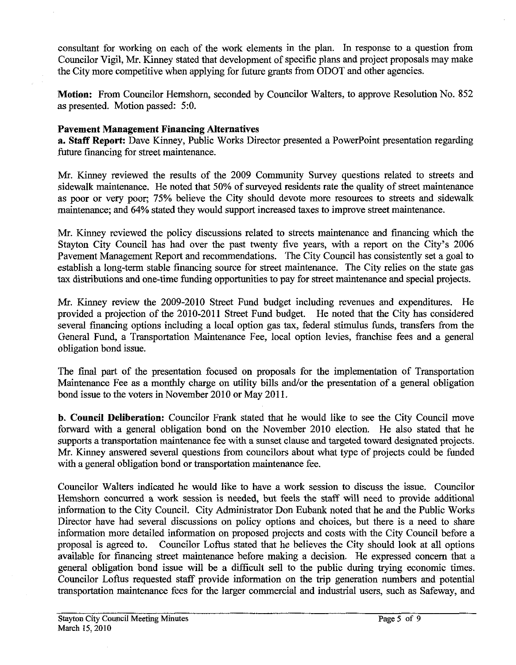consultant for working on each of the work elements in the plan. In response to a question from Councilor Vigil, Mr. Kinney stated that development of specific plans and project proposals may make the City more competitive when applying for future grants from ODOT and other agencies.

Motion: From Councilor Hemshorn, seconded by Councilor Walters, to approve Resolution No. 852 as presented. Motion passed: 5:O.

## Pavement Management Financing Alternatives

a. Staff Report: Dave Kinney, Public Works Director presented a Powerpoint presentation regarding future financing for street maintenance.

Mr. Kinney reviewed the results of the 2009 Community Survey questions related to streets and sidewalk maintenance. He noted that 50% of surveyed residents rate the quality of street maintenance as poor or very poor; 75% believe the City should devote more resources to streets and sidewalk maintenance; and 64% stated they would support increased taxes to improve street maintenance.

Mr. Kinney reviewed the policy discussions related to streets maintenance and financing which the Stayton City Council has had over the past twenty five years, with a report on the City's 2006 Pavement Management Report and recommendations. The City Council has consistently set a goal to establish a long-term stable financing source for street maintenance. The City relies on the state gas tax distributions and one-time fundimg opportunities to pay for street maintenance and special projects.

Mr. Kinney review the 2009-2010 Street Fund budget including revenues and expenditures. He provided a projection of the 2010-2011 Street Fund budget. He noted that the City has considered several financing options including a local option gas **tax,** federal stimulus funds, transfers from the General Fund, a Transportation Maintenance Fee, local option levies, franchise fees and a general obligation bond issue.

The final part of the presentation focused on proposals for the implementation of Transportation Maintenance Fee as a monthly charge on utility bills and/or the presentation of a general obligation bond issue to the voters in November 2010 or May 2011.

**b.** Council Deliberation: Councilor Frank stated that he would like to see the City Council move forward with a general obligation bond on the November 2010 election. He also stated that he supports a transportation maintenance fee with a sunset clause and targeted toward designated projects. Mr. Kinney answered several questions from councilors about what type of projects could be funded with a general obligation bond or transportation maintenance fee.

Councilor Walters indicated he would like to have a work session to discuss the issue. Councilor Hemshorn concurred a work session is needed, but feels the staff will need to provide additional information to the City Council. City Administrator Don Eubank noted that he and the Public Works Director have had several discussions on policy options and choices, but there is a need to share information more detailed information on proposed projects and costs with the City Council before a proposal is agreed to. Councilor Loftus stated that he believes the City should look at all options available for financing street maintenance before making a decision. He expressed concern that a general obligation bond issue will be a difficult sell to the public during trying economic times. Councilor Loftus requested staff provide information on the trip generation numbers and potential transportation maintenance fees for the larger commercial and industrial users, such as Safeway, and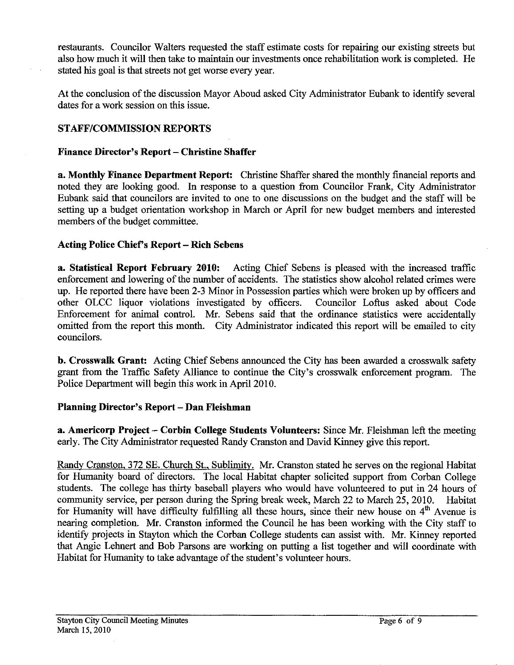restaurants. Councilor Walters requested the staff estimate costs for repairing our existing streets but also how much it will then take to maintain our investments once rehabilitation work is completed. He stated his goal is that streets not get worse every year.

At the conclusion of the discussion Mayor Aboud asked City Administrator Eubank to identify several dates for a work session on this issue.

# **STAFF/COMMISSION REPORTS**

## **Finance Director's Report** - **Christine Shaffer**

**a. Monthly Finance Department Report:** Christine Shaffer shared the monthly financial reports and noted they are looking good. In response to a question from Councilor Frank, City Administrator Eubank said that councilors are invited to one to one discussions on the budget and the staff will be setting up a budget orientation workshop in March or April for new budget members and interested members of the budget committee.

## **Acting Police Chief's Report** - **Rich Sebens**

**a. Statistical Report February 2010:** Acting Chief Sebens is pleased with the increased traffic enforcement and lowering of the number of accidents. The statistics show alcohol related crimes were up. He reported there have been 2-3 Minor in Possession parties which were broken up by officers and other OLCC liquor violations investigated by officers. Councilor Loftus asked about Code Enforcement for animal control. Mr. Sebens said that the ordinance statistics were accidentally omitted from the report this month. City Administrator indicated this report will be emailed to city councilors.

**b. Crosswalk Grant:** Acting Chief Sebens announced the City has been awarded a crosswalk safety grant from the Traffic Safety Alliance to continue the City's crosswalk enforcement program. The Police Department will begin this work in April 2010.

## **Planning Director's Report** - **Dan Fleishman**

**a. Americorp Project** - **Corbin College Students Volunteers:** Since **Mr.** Fleishrnan left the meeting early. The City Administrator requested Randy Cranston and David Kinney give this report.

Randy Cranston, 372 SE. Church St., Sublimity. Mr. Cranston stated he serves on the regional Habitat for Humanity board of directors. The local Habitat chapter solicited support from Corban College students. The college has thirty baseball players who would have volunteered to put in 24 hours of community service, per person during the Spring break week, March 22 to March 25,2010. Habitat for Humanity will have difficulty fulfilling all these hours, since their new house on  $4<sup>th</sup>$  Avenue is nearing completion. Mr. Cranston informed the Council he has been working with the City staff to identify projects in Stayton which the Corban College students can assist with. Mr. Kinney reported that Angie Lehnert and Bob Parsons are working on putting a list together and will coordinate with Habitat for Humanity to take advantage of the student's volunteer hours.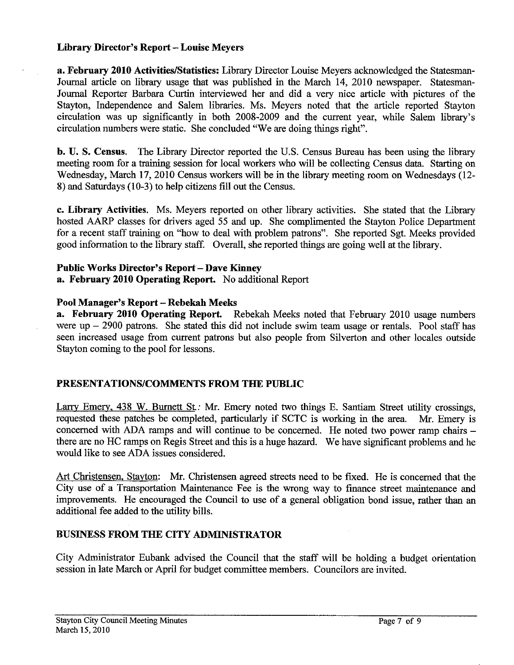## **Library Director's Report** - **Louise Meyers**

**a. February 2010 ActivitieslStatistics:** Library Director Louise Meyers acknowledged the Statesman-Journal article on library usage that was published in the March 14, 2010 newspaper. Statesman-Journal Reporter Barbara Curtin interviewed her and did a very nice article with pictures of the Stayton, Independence and Salem libraries. Ms. Meyers noted that the article reported Stayton circulation was up significantly in both 2008-2009 and the current year, while Salem library's circulation numbers were static. She concluded "We are doing things right".

**b. U. S. Census.** The Library Director reported the U.S. Census Bureau has been using the library meeting room for a training session for local workers who will be collecting Census data. Stating on Wednesday, March 17,2010 Census workers will be in the library meeting room on Wednesdays (12- 8) and Saturdays (10-3) to help citizens fill out the Census.

*c.* **Library Activities.** Ms. Meyers reported on other library activities. She stated that the Library hosted **AARP** classes for drivers aged 55 and up. She complimented the Stayton Police Department for a recent staff training on "how to deal with problem patrons". She reported Sgt. Meeks provided good information to the library staff. Overall, she reported things are going well at the library.

## **Public Works Director's Report** - **Dave Kinney**

**a. February 2010 Operating Report.** No additional Report

## **Pool Manager's Report** - **Rebekah Meeks**

**a. February 2010 Operating Report.** Rebekah Meeks noted that February 2010 usage numbers were  $up - 2900$  patrons. She stated this did not include swim team usage or rentals. Pool staff has seen increased usage from current patrons but also people from Silverton and other locales outside Stayton coming to the pool for lessons.

# **PRESENTATIONSICOMMENTS FROM THE PUBLIC**

Larry Emery, 438 W. Burnett St.: Mr. Emery noted two things E. Santiam Street utility crossings, requested these patches be completed, particularly if SCTC is working in the area. Mr. Emery is concerned with ADA ramps and will continue to be concerned. He noted two power ramp chairs there are no HC ramps on Regis Street and this is a huge hazard. We have significant problems and he would like to see ADA issues considered.

**Art** Christensen. Stayton: Mr. Christensen agreed streets need to be fixed. He is concerned that the City use of a Transportation Maintenance Fee is the wrong way to finance street maintenance and improvements. He encouraged the Council to use of a general obligation bond issue, rather than an additional fee added to the utility bills.

# **BUSINESS FROM THE CITY ADMINISTRATOR**

City Administrator Eubank advised the Council that the staff will be holding a budget orientation session in late March or April for budget committee members. Councilors are invited.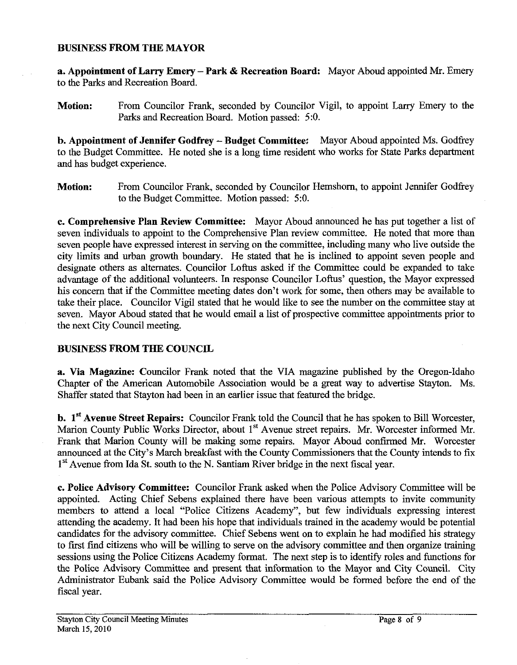### BUSINESS PROM **THE** MAYOR

a. Appointment of Larry Emery - Park & Recreation Board: Mayor Aboud appointed Mr. Emery to the Parks and Recreation Board.

Motion: From Councilor Frank, seconded by Councilor Vigil, to appoint **Lany** Emery to the Parks and Recreation Board. Motion passed: 5:O.

**b. Appointment of Jennifer Godfrey - Budget Committee:** Mayor Aboud appointed Ms. Godfrey to the Budget Committee. He noted she is a long time resident who works for State Parks department and has budget experience.

Motion: From Councilor Frank, seconded by Councilor Hemshorn, to appoint Jennifer Godfrey to the Budget Committee. Motion passed: *5:O.* 

**c.** Comprehensive Plan Review Committee: Mayor Aboud announced he has put together a list of seven individuals to appoint to the Comprehensive Plan review committee. He noted that more than seven people have expressed interest in serving on the committee, including many who live outside the city limits and urban growth boundary. He stated that he is inclined to appoint seven people and designate others as alternates. Councilor Loftus asked if the Committee could be expanded to take advantage of the additional volunteers. In response Councilor Loftus' question, the Mayor expressed his concern that if the Committee meeting dates don't work for some, then others may be available to take their place. Councilor Vigil stated that he would like to see the number on the committee stay at seven. Mayor Aboud stated that he would email a list of prospective committee appointments prior to the next City Council meeting.

## **BUSINESS FROM THE COUNCIL**

a. Via Magazine: Councilor Frank noted that the VIA magazine published by the Oregon-Idaho Chapter of the American Automobile Association would be a great way to advertise Stayton. Ms. Shaffer stated that Stayton had been in an earlier issue that featured the bridge.

**b. 1<sup>st</sup> Avenue Street Repairs:** Councilor Frank told the Council that he has spoken to Bill Worcester, Marion County Public Works Director, about 1<sup>st</sup> Avenue street repairs. Mr. Worcester informed Mr. Frank that Marion County will be making some repairs. Mayor Aboud confirmed Mr. Worcester announced at the City's March breakfast with the County Commissioners that the County intends to fix 1<sup>st</sup> Avenue from Ida St. south to the N. Santiam River bridge in the next fiscal year.

c. Police Advisory Committee: Councilor Frank asked when the Police Advisory Committee will be appointed. Acting Chief Sebens explained there have been various attempts to invite community members to attend a local "Police Citizens Academy", but few individuals expressing interest attending the academy. It had been his hope that individuals trained in the academy would be potential candidates for the advisory committee. Chief Sebens went on to explain he had modified his strategy to first find citizens who will be willing to serve on the advisory committee and then organize training sessions using the Police Citizens Academy format. The next step is to identify roles and functions for the Police Advisory Committee and present that information to the Mayor and City Council. City Administrator Eubank said the Police Advisory Committee would be formed before the end of the fiscal year.